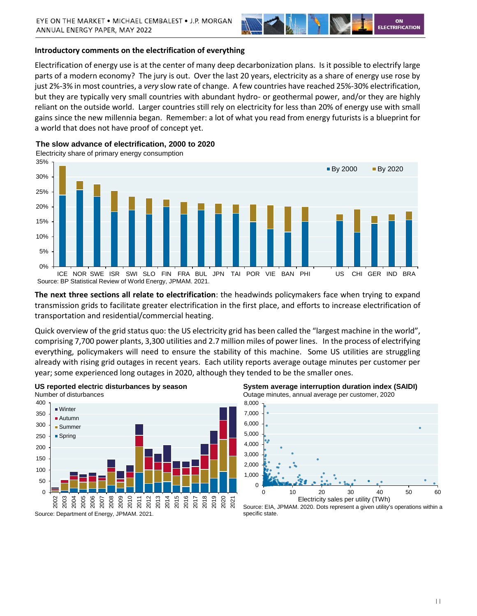

#### **Introductory comments on the electrification of everything**

Electrification of energy use is at the center of many deep decarbonization plans. Is it possible to electrify large parts of a modern economy? The jury is out. Over the last 20 years, electricity as a share of energy use rose by just 2%-3% in most countries, a *very* slow rate of change. A few countries have reached 25%-30% electrification, but they are typically very small countries with abundant hydro- or geothermal power, and/or they are highly reliant on the outside world. Larger countries still rely on electricity for less than 20% of energy use with small gains since the new millennia began. Remember: a lot of what you read from energy futurists is a blueprint for a world that does not have proof of concept yet.

**The slow advance of electrification, 2000 to 2020**

Electricity share of primary energy consumption



**The next three sections all relate to electrification**: the headwinds policymakers face when trying to expand transmission grids to facilitate greater electrification in the first place, and efforts to increase electrification of transportation and residential/commercial heating.

Quick overview of the grid status quo: the US electricity grid has been called the "largest machine in the world", comprising 7,700 power plants, 3,300 utilities and 2.7 million miles of power lines. In the process of electrifying everything, policymakers will need to ensure the stability of this machine. Some US utilities are struggling already with rising grid outages in recent years. Each utility reports average outage minutes per customer per year; some experienced long outages in 2020, although they tended to be the smaller ones.



**US reported electric disturbances by season** Number of disturbances

**System average interruption duration index (SAIDI)**  Outage minutes, annual average per customer, 2020



Source: EIA, JPMAM. 2020. Dots represent a given utility's operations within a specific state.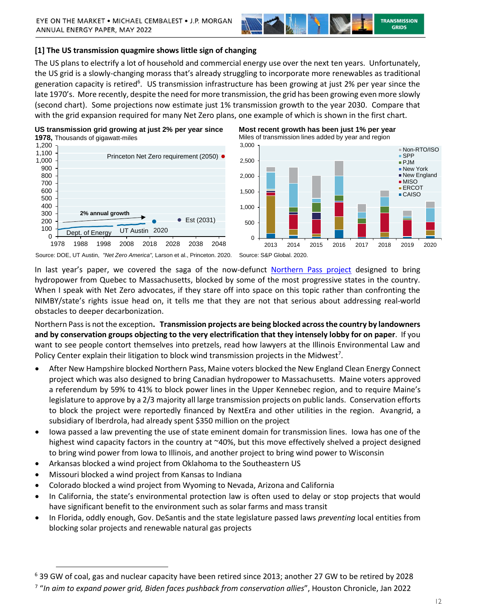

**Most recent growth has been just 1% per year**

# **[1] The US transmission quagmire shows little sign of changing**

The US plans to electrify a lot of household and commercial energy use over the next ten years. Unfortunately, the US grid is a slowly-changing morass that's already struggling to incorporate more renewables as traditional generation capacity is retired<sup>6</sup>. US transmission infrastructure has been growing at just 2% per year since the late 1970's. More recently, despite the need for more transmission, the grid has been growing even more slowly (second chart). Some projections now estimate just 1% transmission growth to the year 2030. Compare that with the grid expansion required for many Net Zero plans, one example of which is shown in the first chart.

**US transmission grid growing at just 2% per year since 1978,** Thousands of gigawatt-miles



Source: DOE, UT Austin, *"Net Zero America",* Larson et al., Princeton. 2020. Source: S&P Global. 2020.

In last year's paper, we covered the saga of the now-defunct [Northern Pass project](https://privatebank.jpmorgan.com/content/dam/jpm-wm-aem/global/cwm/en/insights/eye-on-the-market/future-shock-extracts/transmission-jpmwm.pdf) designed to bring hydropower from Quebec to Massachusetts, blocked by some of the most progressive states in the country. When I speak with Net Zero advocates, if they stare off into space on this topic rather than confronting the NIMBY/state's rights issue head on, it tells me that they are not that serious about addressing real-world obstacles to deeper decarbonization.

Northern Pass is not the exception**. Transmission projects are being blocked across the country by landowners and by conservation groups objecting to the very electrification that they intensely lobby for on paper**. If you want to see people contort themselves into pretzels, read how lawyers at the Illinois Environmental Law and Policy Center explain their litigation to block wind transmission projects in the Midwest<sup>7</sup>.

- After New Hampshire blocked Northern Pass, Maine voters blocked the New England Clean Energy Connect project which was also designed to bring Canadian hydropower to Massachusetts. Maine voters approved a referendum by 59% to 41% to block power lines in the Upper Kennebec region, and to require Maine's legislature to approve by a 2/3 majority all large transmission projects on public lands. Conservation efforts to block the project were reportedly financed by NextEra and other utilities in the region. Avangrid, a subsidiary of Iberdrola, had already spent \$350 million on the project
- Iowa passed a law preventing the use of state eminent domain for transmission lines. Iowa has one of the highest wind capacity factors in the country at ~40%, but this move effectively shelved a project designed to bring wind power from Iowa to Illinois, and another project to bring wind power to Wisconsin
- Arkansas blocked a wind project from Oklahoma to the Southeastern US
- Missouri blocked a wind project from Kansas to Indiana

- Colorado blocked a wind project from Wyoming to Nevada, Arizona and California
- In California, the state's environmental protection law is often used to delay or stop projects that would have significant benefit to the environment such as solar farms and mass transit
- In Florida, oddly enough, Gov. DeSantis and the state legislature passed laws *preventing* local entities from blocking solar projects and renewable natural gas projects

<sup>6</sup> 39 GW of coal, gas and nuclear capacity have been retired since 2013; another 27 GW to be retired by 2028

<sup>7</sup> "*In aim to expand power grid, Biden faces pushback from conservation allies*", Houston Chronicle, Jan 2022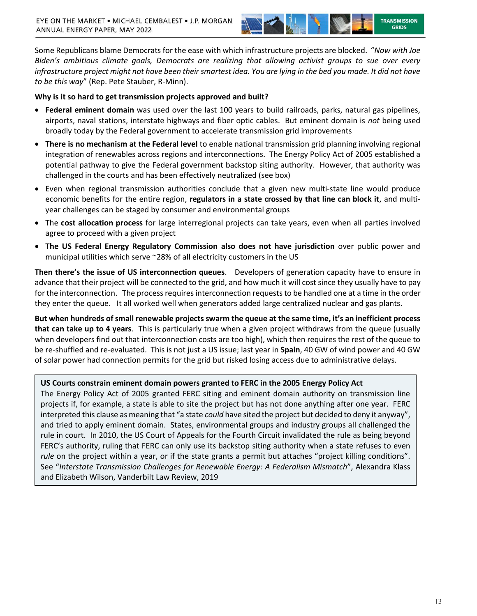

Some Republicans blame Democrats for the ease with which infrastructure projects are blocked. "*Now with Joe Biden's ambitious climate goals, Democrats are realizing that allowing activist groups to sue over every infrastructure project might not have been their smartest idea. You are lying in the bed you made. It did not have to be this way*" (Rep. Pete Stauber, R-Minn).

# **Why is it so hard to get transmission projects approved and built?**

- **Federal eminent domain** was used over the last 100 years to build railroads, parks, natural gas pipelines, airports, naval stations, interstate highways and fiber optic cables. But eminent domain is *not* being used broadly today by the Federal government to accelerate transmission grid improvements
- **There is no mechanism at the Federal level** to enable national transmission grid planning involving regional integration of renewables across regions and interconnections. The Energy Policy Act of 2005 established a potential pathway to give the Federal government backstop siting authority. However, that authority was challenged in the courts and has been effectively neutralized (see box)
- Even when regional transmission authorities conclude that a given new multi-state line would produce economic benefits for the entire region, **regulators in a state crossed by that line can block it**, and multiyear challenges can be staged by consumer and environmental groups
- The **cost allocation process** for large interregional projects can take years, even when all parties involved agree to proceed with a given project
- **The US Federal Energy Regulatory Commission also does not have jurisdiction** over public power and municipal utilities which serve ~28% of all electricity customers in the US

**Then there's the issue of US interconnection queues**. Developers of generation capacity have to ensure in advance that their project will be connected to the grid, and how much it will cost since they usually have to pay for the interconnection. The process requires interconnection requests to be handled one at a time in the order they enter the queue. It all worked well when generators added large centralized nuclear and gas plants.

**But when hundreds of small renewable projects swarm the queue at the same time, it's an inefficient process that can take up to 4 years**. This is particularly true when a given project withdraws from the queue (usually when developers find out that interconnection costs are too high), which then requires the rest of the queue to be re-shuffled and re-evaluated. This is not just a US issue; last year in **Spain**, 40 GW of wind power and 40 GW of solar power had connection permits for the grid but risked losing access due to administrative delays.

# **US Courts constrain eminent domain powers granted to FERC in the 2005 Energy Policy Act**

The Energy Policy Act of 2005 granted FERC siting and eminent domain authority on transmission line projects if, for example, a state is able to site the project but has not done anything after one year. FERC interpreted this clause as meaning that "a state *could* have sited the project but decided to deny it anyway", and tried to apply eminent domain. States, environmental groups and industry groups all challenged the rule in court. In 2010, the US Court of Appeals for the Fourth Circuit invalidated the rule as being beyond FERC's authority, ruling that FERC can only use its backstop siting authority when a state refuses to even *rule* on the project within a year, or if the state grants a permit but attaches "project killing conditions". See "*Interstate Transmission Challenges for Renewable Energy: A Federalism Mismatch*", Alexandra Klass and Elizabeth Wilson, Vanderbilt Law Review, 2019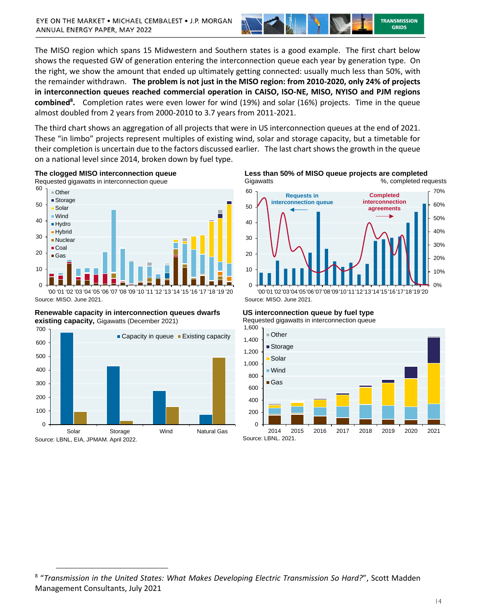

The MISO region which spans 15 Midwestern and Southern states is a good example. The first chart below shows the requested GW of generation entering the interconnection queue each year by generation type. On the right, we show the amount that ended up ultimately getting connected: usually much less than 50%, with the remainder withdrawn. **The problem is not just in the MISO region: from 2010-2020, only 24% of projects in interconnection queues reached commercial operation in CAISO, ISO-NE, MISO, NYISO and PJM regions combined<sup>8</sup> .** Completion rates were even lower for wind (19%) and solar (16%) projects. Time in the queue almost doubled from 2 years from 2000-2010 to 3.7 years from 2011-2021.

The third chart shows an aggregation of all projects that were in US interconnection queues at the end of 2021. These "in limbo" projects represent multiples of existing wind, solar and storage capacity, but a timetable for their completion is uncertain due to the factors discussed earlier. The last chart shows the growth in the queue on a national level since 2014, broken down by fuel type.



**Renewable capacity in interconnection queues dwarfs existing capacity,** Gigawatts (December 2021)



 $\overline{a}$ 

**Less than 50% of MISO queue projects are completed** Gigawatts 6.1 Completed requests



**US interconnection queue by fuel type**

Requested gigawatts in interconnection queue



<sup>8</sup> "*Transmission in the United States: What Makes Developing Electric Transmission So Hard?*", Scott Madden Management Consultants, July 2021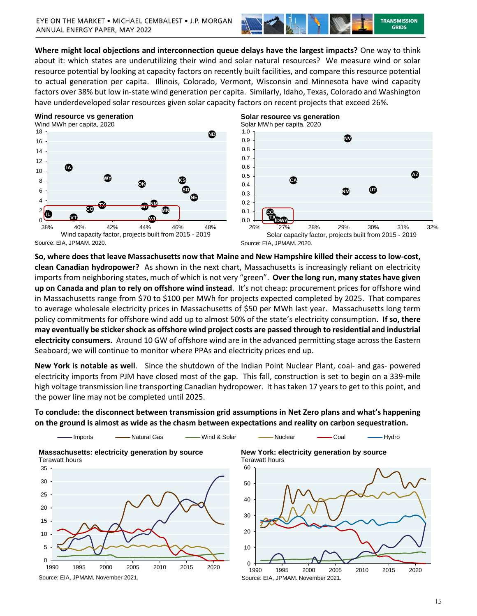

**Where might local objections and interconnection queue delays have the largest impacts?** One way to think about it: which states are underutilizing their wind and solar natural resources? We measure wind or solar resource potential by looking at capacity factors on recently built facilities, and compare this resource potential to actual generation per capita. Illinois, Colorado, Vermont, Wisconsin and Minnesota have wind capacity factors over 38% but low in-state wind generation per capita. Similarly, Idaho, Texas, Colorado and Washington have underdeveloped solar resources given solar capacity factors on recent projects that exceed 26%.

#### **Wind resource vs generation**





**So, where does that leave Massachusetts now that Maine and New Hampshire killed their access to low-cost, clean Canadian hydropower?** As shown in the next chart, Massachusetts is increasingly reliant on electricity imports from neighboring states, much of which is not very "green". **Over the long run, many states have given up on Canada and plan to rely on offshore wind instead**. It's not cheap: procurement prices for offshore wind in Massachusetts range from \$70 to \$100 per MWh for projects expected completed by 2025. That compares to average wholesale electricity prices in Massachusetts of \$50 per MWh last year. Massachusetts long term policy commitments for offshore wind add up to almost 50% of the state's electricity consumption**. If so, there may eventually be sticker shock as offshore wind project costs are passed through to residential and industrial electricity consumers.** Around 10 GW of offshore wind are in the advanced permitting stage across the Eastern Seaboard; we will continue to monitor where PPAs and electricity prices end up.

**New York is notable as well**. Since the shutdown of the Indian Point Nuclear Plant, coal- and gas- powered electricity imports from PJM have closed most of the gap. This fall, construction is set to begin on a 339-mile high voltage transmission line transporting Canadian hydropower. It has taken 17 years to get to this point, and the power line may not be completed until 2025.

# **To conclude: the disconnect between transmission grid assumptions in Net Zero plans and what's happening on the ground is almost as wide as the chasm between expectations and reality on carbon sequestration.**



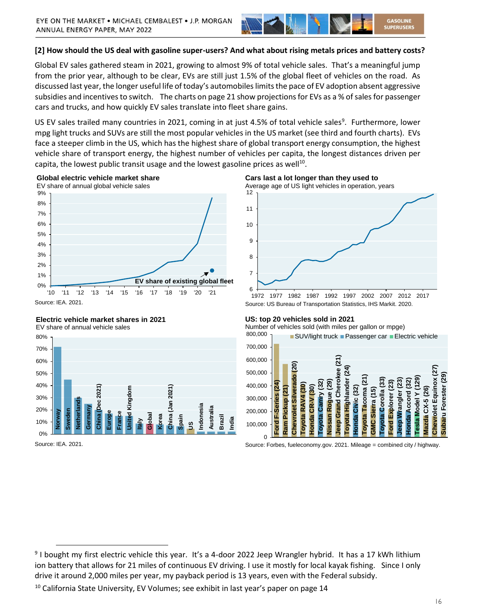

# **[2] How should the US deal with gasoline super-users? And what about rising metals prices and battery costs?**

Global EV sales gathered steam in 2021, growing to almost 9% of total vehicle sales. That's a meaningful jump from the prior year, although to be clear, EVs are still just 1.5% of the global fleet of vehicles on the road. As discussed last year, the longer useful life of today's automobiles limits the pace of EV adoption absent aggressive subsidies and incentives to switch. The charts on page 21 show projections for EVs as a % of sales for passenger cars and trucks, and how quickly EV sales translate into fleet share gains.

US EV sales trailed many countries in 2021, coming in at just 4.5% of total vehicle sales<sup>9</sup>. Furthermore, lower mpg light trucks and SUVs are still the most popular vehicles in the US market (see third and fourth charts). EVs face a steeper climb in the US, which has the highest share of global transport energy consumption, the highest vehicle share of transport energy, the highest number of vehicles per capita, the longest distances driven per capita, the lowest public transit usage and the lowest gasoline prices as well<sup>10</sup>.



#### **Electric vehicle market shares in 2021**

EV share of annual vehicle sales



Source: IEA. 2021.

 $\overline{a}$ 

**Cars last a lot longer than they used to** Average age of US light vehicles in operation, years



1972 1977 1982 1987 1992 1997 2002 2007 2012 2017 Source: US Bureau of Transportation Statistics, IHS Markit. 2020.

#### **US: top 20 vehicles sold in 2021**

Number of vehicles sold (with miles per gallon or mpge)



Source: Forbes, [fueleconomy.gov.](http://fueleconomy.gov) 2021. Mileage = combined city / highway.

<sup>&</sup>lt;sup>9</sup> I bought my first electric vehicle this year. It's a 4-door 2022 Jeep Wrangler hybrid. It has a 17 kWh lithium ion battery that allows for 21 miles of continuous EV driving. I use it mostly for local kayak fishing. Since I only drive it around 2,000 miles per year, my payback period is 13 years, even with the Federal subsidy.

 $10$  California State University, EV Volumes; see exhibit in last year's paper on page 14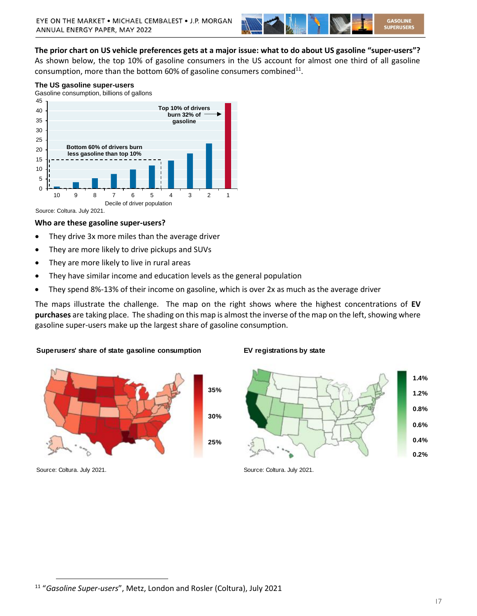

**The prior chart on US vehicle preferences gets at a major issue: what to do about US gasoline "super-users"?** As shown below, the top 10% of gasoline consumers in the US account for almost one third of all gasoline consumption, more than the bottom 60% of gasoline consumers combined $^{11}$ .

#### **The US gasoline super-users**

Gasoline consumption, billions of gallons



Source: Coltura. July 2021.

#### **Who are these gasoline super-users?**

- They drive 3x more miles than the average driver
- They are more likely to drive pickups and SUVs
- They are more likely to live in rural areas
- They have similar income and education levels as the general population
- They spend 8%-13% of their income on gasoline, which is over 2x as much as the average driver

The maps illustrate the challenge. The map on the right shows where the highest concentrations of **EV purchases** are taking place. The shading on this map is almost the inverse of the map on the left, showing where gasoline super-users make up the largest share of gasoline consumption.

#### **Superusers' share of state gasoline consumption EV registrations by state**



Source: Coltura. July 2021. Source: Coltura. July 2021.



<sup>11</sup> "*Gasoline Super-users*", Metz, London and Rosler (Coltura), July 2021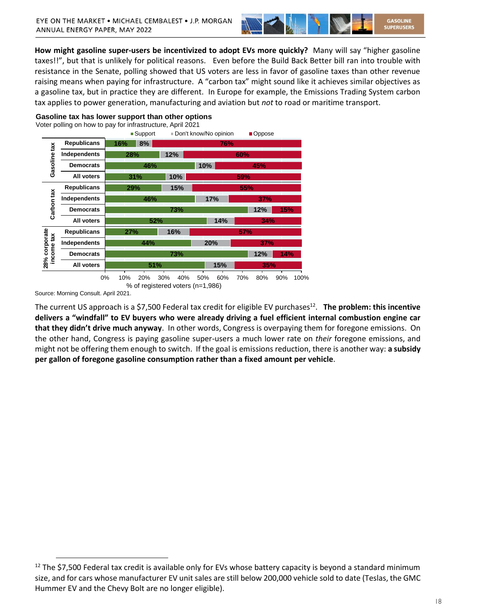

**How might gasoline super-users be incentivized to adopt EVs more quickly?** Many will say "higher gasoline taxes!!", but that is unlikely for political reasons. Even before the Build Back Better bill ran into trouble with resistance in the Senate, polling showed that US voters are less in favor of gasoline taxes than other revenue raising means when paying for infrastructure. A "carbon tax" might sound like it achieves similar objectives as a gasoline tax, but in practice they are different. In Europe for example, the Emissions Trading System carbon tax applies to power generation, manufacturing and aviation but *not* to road or maritime transport.

#### **Gasoline tax has lower support than other options**



Source: Morning Consult. April 2021.

 $\overline{a}$ 

The current US approach is a \$7,500 Federal tax credit for eligible EV purchases<sup>12</sup>. The problem: this incentive **delivers a "windfall" to EV buyers who were already driving a fuel efficient internal combustion engine car that they didn't drive much anyway**. In other words, Congress is overpaying them for foregone emissions. On the other hand, Congress is paying gasoline super-users a much lower rate on *their* foregone emissions, and might not be offering them enough to switch. If the goal is emissions reduction, there is another way: **a subsidy per gallon of foregone gasoline consumption rather than a fixed amount per vehicle**.

 $12$  The \$7,500 Federal tax credit is available only for EVs whose battery capacity is beyond a standard minimum size, and for cars whose manufacturer EV unit sales are still below 200,000 vehicle sold to date (Teslas, the GMC Hummer EV and the Chevy Bolt are no longer eligible).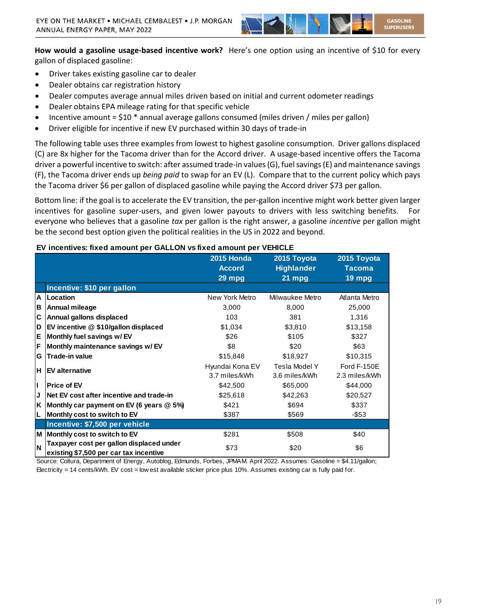

**How would a gasoline usage-based incentive work?** Here's one option using an incentive of \$10 for every gallon of displaced gasoline:

- Driver takes existing gasoline car to dealer
- Dealer obtains car registration history
- Dealer computes average annual miles driven based on initial and current odometer readings
- Dealer obtains EPA mileage rating for that specific vehicle
- Incentive amount =  $$10 *$  annual average gallons consumed (miles driven / miles per gallon)
- Driver eligible for incentive if new EV purchased within 30 days of trade-in

The following table uses three examples from lowest to highest gasoline consumption. Driver gallons displaced (C) are 8x higher for the Tacoma driver than for the Accord driver. A usage-based incentive offers the Tacoma driver a powerful incentive to switch: after assumed trade-in values (G), fuel savings (E) and maintenance savings (F), the Tacoma driver ends up *being paid* to swap for an EV (L). Compare that to the current policy which pays the Tacoma driver \$6 per gallon of displaced gasoline while paying the Accord driver \$73 per gallon.

Bottom line: if the goal is to accelerate the EV transition, the per-gallon incentive might work better given larger incentives for gasoline super-users, and given lower payouts to drivers with less switching benefits. For everyone who believes that a gasoline *tax* per gallon is the right answer, a gasoline *incentive* per gallon might be the second best option given the political realities in the US in 2022 and beyond.

|              |                                          | <b>2015 Honda</b> | 2015 Toyota       | 2015 Toyota        |
|--------------|------------------------------------------|-------------------|-------------------|--------------------|
|              |                                          | <b>Accord</b>     | <b>Highlander</b> | Tacoma             |
|              |                                          | 29 mpg            | 21 mpg            | $19$ mpg           |
|              | Incentive: \$10 per gallon               |                   |                   |                    |
| $\mathsf{A}$ | Location                                 | New York Metro    | Milwaukee Metro   | Atlanta Metro      |
| в            | Annual mileage                           | 3,000             | 8,000             | 25,000             |
| C            | Annual gallons displaced                 | 103               | 381               | 1,316              |
| D            | EV incentive @ \$10/gallon displaced     | \$1,034           | \$3,810           | \$13,158           |
| Е            | Monthly fuel savings w/ EV               | \$26              | \$105             | \$327              |
| F            | Monthly maintenance savings w/ EV        | \$8               | \$20              | \$63               |
| G            | <b>Trade-in value</b>                    | \$15,848          | \$18,927          | \$10,315           |
| н.           | <b>IEV alternative</b>                   | Hyundai Kona EV   | Tesla Model Y     | <b>Ford F-150E</b> |
|              |                                          | 3.7 miles/kWh     | 3.6 miles/kWh     | 2.3 miles/kWh      |
| П            | <b>Price of EV</b>                       | \$42,500          | \$65,000          | \$44,000           |
| J            | Net EV cost after incentive and trade-in | \$25,618          | \$42,263          | \$20,527           |
| K            | Monthly car payment on EV (6 years @ 5%) | \$421             | \$694             | \$337              |
| L            | Monthly cost to switch to EV             | \$387             | \$569             | $-$ \$53           |
|              | Incentive: \$7,500 per vehicle           |                   |                   |                    |
|              | M Monthly cost to switch to EV           | \$281             | \$508             | \$40               |
| N            | Taxpayer cost per gallon displaced under | \$73              | \$20              | \$6                |
|              | existing \$7,500 per car tax incentive   |                   |                   |                    |

### **EV incentives: fixed amount per GALLON vs fixed amount per VEHICLE**

Source: Coltura, Department of Energy, Autoblog, Edmunds, Forbes, JPMAM. April 2022. Assumes: Gasoline = \$4.11/gallon; Electricity = 14 cents/kWh. EV cost = low est available sticker price plus 10%. Assumes existing car is fully paid for.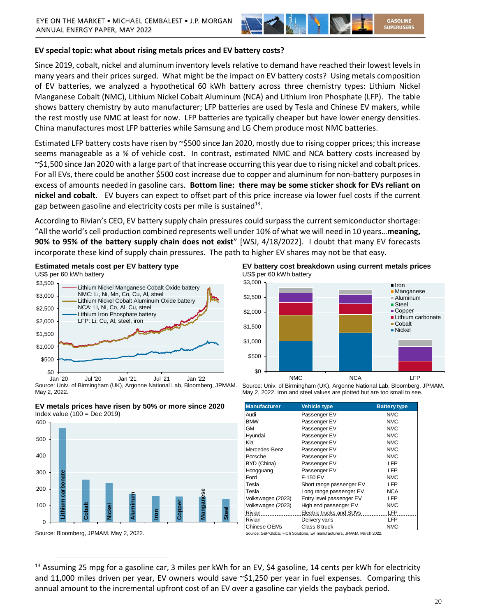

# **EV special topic: what about rising metals prices and EV battery costs?**

Since 2019, cobalt, nickel and aluminum inventory levels relative to demand have reached their lowest levels in many years and their prices surged. What might be the impact on EV battery costs? Using metals composition of EV batteries, we analyzed a hypothetical 60 kWh battery across three chemistry types: Lithium Nickel Manganese Cobalt (NMC), Lithium Nickel Cobalt Aluminum (NCA) and Lithium Iron Phosphate (LFP). The table shows battery chemistry by auto manufacturer; LFP batteries are used by Tesla and Chinese EV makers, while the rest mostly use NMC at least for now. LFP batteries are typically cheaper but have lower energy densities. China manufactures most LFP batteries while Samsung and LG Chem produce most NMC batteries.

Estimated LFP battery costs have risen by ~\$500 since Jan 2020, mostly due to rising copper prices; this increase seems manageable as a % of vehicle cost. In contrast, estimated NMC and NCA battery costs increased by  $\sim$ \$1,500 since Jan 2020 with a large part of that increase occurring this year due to rising nickel and cobalt prices. For all EVs, there could be another \$500 cost increase due to copper and aluminum for non-battery purposes in excess of amounts needed in gasoline cars. **Bottom line: there may be some sticker shock for EVs reliant on nickel and cobalt**. EV buyers can expect to offset part of this price increase via lower fuel costs if the current gap between gasoline and electricity costs per mile is sustained<sup>13</sup>.

According to Rivian's CEO, EV battery supply chain pressures could surpass the current semiconductor shortage: "All the world's cell production combined represents well under 10% of what we will need in 10 years…**meaning, 90% to 95% of the battery supply chain does not exist**" [WSJ, 4/18/2022]. I doubt that many EV forecasts incorporate these kind of supply chain pressures. The path to higher EV shares may not be that easy.

**Estimated metals cost per EV battery type** US\$ per 60 kWh battery



Source: Univ. of Birmingham (UK), Argonne National Lab, Bloomberg, JPMAM. May 2, 2022.





Source: Bloomberg, JPMAM. May 2, 2022.

 $\overline{a}$ 

**EV battery cost breakdown using current metals prices**  US\$ per 60 kWh battery



Source: Univ. of Birmingham (UK), Argonne National Lab, Bloomberg, JPMAM. May 2, 2022. Iron and steel values are plotted but are too small to see.

| <b>Manufacturer</b> | <b>Vehicle type</b>      | <b>Battery type</b> |
|---------------------|--------------------------|---------------------|
| Audi                | Passenger EV             | <b>NMC</b>          |
| <b>BMW</b>          | Passenger EV             | <b>NMC</b>          |
| GМ                  | Passenger EV             | <b>NMC</b>          |
| Hyundai             | Passenger EV             | <b>NMC</b>          |
| Kia                 | Passenger EV             | <b>NMC</b>          |
| Mercedes-Benz       | Passenger EV             | <b>NMC</b>          |
| Porsche             | Passenger EV             | <b>NMC</b>          |
| BYD (China)         | Passenger EV             | I FP                |
| Hongguang           | Passenger EV             | <b>LFP</b>          |
| Ford                | F-150 EV                 | <b>NMC</b>          |
| Tesla               | Short range passenger EV | I FP                |
| Tesla               | Long range passenger EV  | <b>NCA</b>          |
| Volkswagen (2023)   | Entry level passenger EV | I FP                |
| Volkswagen (2023)   | High end passenger EV    | <b>NMC</b>          |
| Rivian              | Electric trucks and SUVs | <b>LFP</b>          |
| Rivian              | Delivery vans            | LFP                 |
| Chinese OEMs        | Class 8 truck            | <b>NMC</b>          |

Source: S&P Global, Fitch Solutions, EV manufacturers, JPMAM. March 2022.

<sup>&</sup>lt;sup>13</sup> Assuming 25 mpg for a gasoline car, 3 miles per kWh for an EV, \$4 gasoline, 14 cents per kWh for electricity and 11,000 miles driven per year, EV owners would save  $\sim$ \$1,250 per year in fuel expenses. Comparing this annual amount to the incremental upfront cost of an EV over a gasoline car yields the payback period.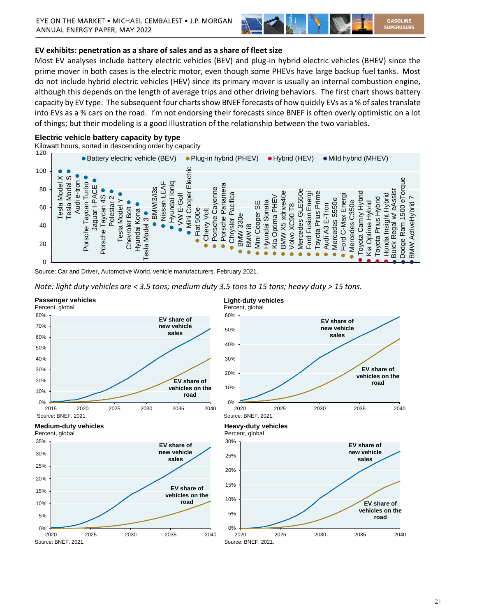

# **EV exhibits: penetration as a share of sales and as a share of fleet size**

Most EV analyses include battery electric vehicles (BEV) and plug-in hybrid electric vehicles (BHEV) since the prime mover in both cases is the electric motor, even though some PHEVs have large backup fuel tanks. Most do not include hybrid electric vehicles (HEV) since its primary mover is usually an internal combustion engine, although this depends on the length of average trips and other driving behaviors. The first chart shows battery capacity by EV type. The subsequent four charts show BNEF forecasts of how quickly EVs as a % of sales translate into EVs as a % cars on the road. I'm not endorsing their forecasts since BNEF is often overly optimistic on a lot of things; but their modeling is a good illustration of the relationship between the two variables.

### **Electric vehicle battery capacity by type**

Kilowatt hours, sorted in descending order by capacity



Source: Car and Driver, Automotive World, vehicle manufacturers. February 2021.





#### 21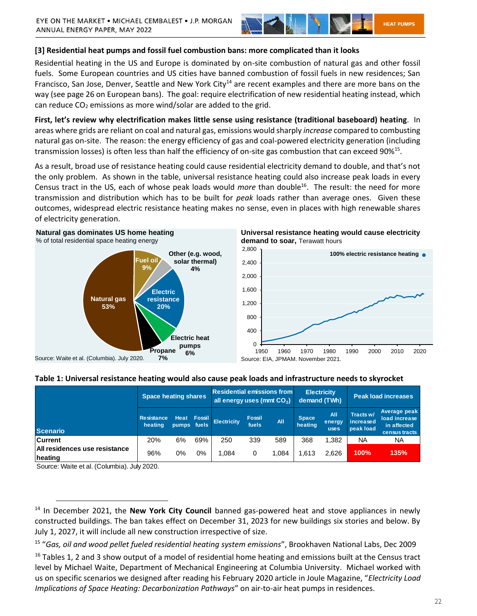

# **[3] Residential heat pumps and fossil fuel combustion bans: more complicated than it looks**

Residential heating in the US and Europe is dominated by on-site combustion of natural gas and other fossil fuels. Some European countries and US cities have banned combustion of fossil fuels in new residences; San Francisco, San Jose, Denver, Seattle and New York City<sup>14</sup> are recent examples and there are more bans on the way (see page 26 on European bans). The goal: require electrification of new residential heating instead, which can reduce  $CO<sub>2</sub>$  emissions as more wind/solar are added to the grid.

**First, let's review why electrification makes little sense using resistance (traditional baseboard) heating**. In areas where grids are reliant on coal and natural gas, emissions would sharply *increase* compared to combusting natural gas on-site. The reason: the energy efficiency of gas and coal-powered electricity generation (including transmission losses) is often less than half the efficiency of on-site gas combustion that can exceed 90%<sup>15</sup>.

As a result, broad use of resistance heating could cause residential electricity demand to double, and that's not the only problem. As shown in the table, universal resistance heating could also increase peak loads in every Census tract in the US, each of whose peak loads would *more* than double<sup>16</sup>. The result: the need for more transmission and distribution which has to be built for *peak* loads rather than average ones. Given these outcomes, widespread electric resistance heating makes no sense, even in places with high renewable shares of electricity generation.

#### **Natural gas dominates US home heating** % of total residential space heating energy







# **Table 1: Universal resistance heating would also cause peak loads and infrastructure needs to skyrocket**

|                                                 | <b>Space heating shares</b>  |                            |        | <b>Residential emissions from</b><br>all energy uses (mmt $CO2$ ) |                        |       | <b>Electricity</b><br>demand (TWh) |                              | <b>Peak load increases</b>          |                                                               |
|-------------------------------------------------|------------------------------|----------------------------|--------|-------------------------------------------------------------------|------------------------|-------|------------------------------------|------------------------------|-------------------------------------|---------------------------------------------------------------|
| <b>Scenario</b>                                 | <b>Resistance</b><br>heating | <b>Heat</b><br>pumps fuels | Fossil | <b>Electricity</b>                                                | <b>Fossil</b><br>fuels | All   | <b>Space</b><br>heating            | All<br>energy<br><b>uses</b> | Tracts w/<br>increased<br>peak load | Average peak<br>load increase<br>in affected<br>census tracts |
| <b>Current</b>                                  | 20%                          | 6%                         | 69%    | 250                                                               | 339                    | 589   | 368                                | .382                         | NA                                  | NA.                                                           |
| <b>All residences use resistance</b><br>heating | 96%                          | 0%                         | $0\%$  | 1.084                                                             | 0                      | 1.084 | 1.613                              | 2.626                        | 100%                                | 135%                                                          |

Source: Waite et al. (Columbia). July 2020.

<sup>14</sup> In December 2021, the **New York City Council** banned gas-powered heat and stove appliances in newly constructed buildings. The ban takes effect on December 31, 2023 for new buildings six stories and below. By July 1, 2027, it will include all new construction irrespective of size.

<sup>15</sup> "*Gas, oil and wood pellet fueled residential heating system emissions*", Brookhaven National Labs, Dec 2009

 $16$  Tables 1, 2 and 3 show output of a model of residential home heating and emissions built at the Census tract level by Michael Waite, Department of Mechanical Engineering at Columbia University. Michael worked with us on specific scenarios we designed after reading his February 2020 article in Joule Magazine, "*Electricity Load Implications of Space Heating: Decarbonization Pathways*" on air-to-air heat pumps in residences.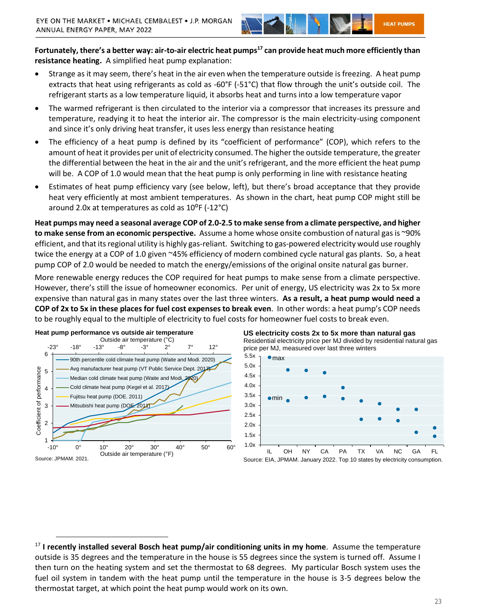

**Fortunately, there's a better way: air-to-air electric heat pumps<sup>17</sup> can provide heat much more efficiently than resistance heating.** A simplified heat pump explanation:

- Strange as it may seem, there's heat in the air even when the temperature outside is freezing. A heat pump extracts that heat using refrigerants as cold as -60°F (-51°C) that flow through the unit's outside coil. The refrigerant starts as a low temperature liquid, it absorbs heat and turns into a low temperature vapor
- The warmed refrigerant is then circulated to the interior via a compressor that increases its pressure and temperature, readying it to heat the interior air. The compressor is the main electricity-using component and since it's only driving heat transfer, it uses less energy than resistance heating
- The efficiency of a heat pump is defined by its "coefficient of performance" (COP), which refers to the amount of heat it provides per unit of electricity consumed. The higher the outside temperature, the greater the differential between the heat in the air and the unit's refrigerant, and the more efficient the heat pump will be. A COP of 1.0 would mean that the heat pump is only performing in line with resistance heating
- Estimates of heat pump efficiency vary (see below, left), but there's broad acceptance that they provide heat very efficiently at most ambient temperatures. As shown in the chart, heat pump COP might still be around 2.0x at temperatures as cold as  $10^{\circ}$ F (-12 $^{\circ}$ C)

**Heat pumps may need a seasonal average COP of 2.0-2.5 to make sense from a climate perspective, and higher to make sense from an economic perspective.** Assume a home whose onsite combustion of natural gas is ~90% efficient, and that its regional utility is highly gas-reliant. Switching to gas-powered electricity would use roughly twice the energy at a COP of 1.0 given ~45% efficiency of modern combined cycle natural gas plants. So, a heat pump COP of 2.0 would be needed to match the energy/emissions of the original onsite natural gas burner.

More renewable energy reduces the COP required for heat pumps to make sense from a climate perspective. However, there's still the issue of homeowner economics. Per unit of energy, US electricity was 2x to 5x more expensive than natural gas in many states over the last three winters. **As a result, a heat pump would need a COP of 2x to 5x in these places for fuel cost expenses to break even**. In other words: a heat pump's COP needs to be roughly equal to the multiple of electricity to fuel costs for homeowner fuel costs to break even.







<sup>17</sup> **I recently installed several Bosch heat pump/air conditioning units in my home**. Assume the temperature outside is 35 degrees and the temperature in the house is 55 degrees since the system is turned off. Assume I then turn on the heating system and set the thermostat to 68 degrees. My particular Bosch system uses the fuel oil system in tandem with the heat pump until the temperature in the house is 3-5 degrees below the thermostat target, at which point the heat pump would work on its own.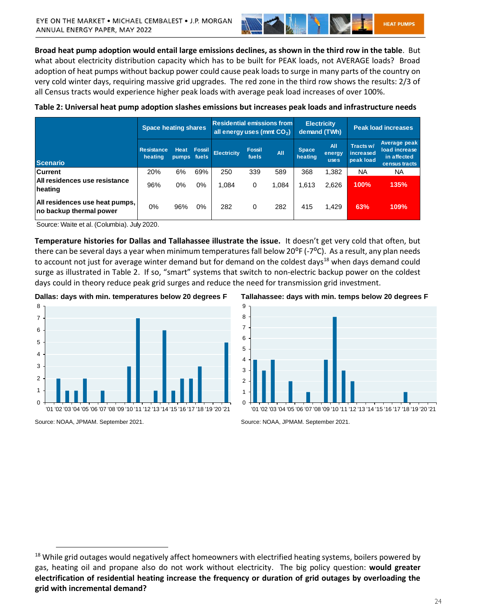

**Broad heat pump adoption would entail large emissions declines, as shown in the third row in the table**. But what about electricity distribution capacity which has to be built for PEAK loads, not AVERAGE loads? Broad adoption of heat pumps without backup power could cause peak loads to surge in many parts of the country on very cold winter days, requiring massive grid upgrades. The red zone in the third row shows the results: 2/3 of all Census tracts would experience higher peak loads with average peak load increases of over 100%.

| Table 2: Universal heat pump adoption slashes emissions but increases peak loads and infrastructure needs |  |
|-----------------------------------------------------------------------------------------------------------|--|
|-----------------------------------------------------------------------------------------------------------|--|

|                                                           | <b>Space heating shares</b>  |                             |                 |                    |                        | <b>Residential emissions from</b><br><b>Electricity</b><br>all energy uses (mmt $CO2$ )<br>demand (TWh) |                         |                              | <b>Peak load increases</b>          |                                                               |
|-----------------------------------------------------------|------------------------------|-----------------------------|-----------------|--------------------|------------------------|---------------------------------------------------------------------------------------------------------|-------------------------|------------------------------|-------------------------------------|---------------------------------------------------------------|
| <b>Scenario</b>                                           | <b>Resistance</b><br>heating | <b>Heat</b><br><b>pumps</b> | Fossil<br>fuels | <b>Electricity</b> | <b>Fossil</b><br>fuels | All                                                                                                     | <b>Space</b><br>heating | All<br>energy<br><b>uses</b> | Tracts w/<br>increased<br>peak load | Average peak<br>load increase<br>in affected<br>census tracts |
| <b>Current</b>                                            | 20%                          | 6%                          | 69%             | 250                | 339                    | 589                                                                                                     | 368                     | 1,382                        | <b>NA</b>                           | <b>NA</b>                                                     |
| <b>All residences use resistance</b><br>heating           | 96%                          | 0%                          | 0%              | 1,084              | 0                      | 1,084                                                                                                   | 1,613                   | 2,626                        | 100%                                | 135%                                                          |
| All residences use heat pumps,<br>no backup thermal power | 0%                           | 96%                         | 0%              | 282                | 0                      | 282                                                                                                     | 415                     | 1,429                        | 63%                                 | 109%                                                          |

Source: Waite et al. (Columbia). July 2020.

**Temperature histories for Dallas and Tallahassee illustrate the issue.** It doesn't get very cold that often, but there can be several days a year when minimum temperatures fall below 20<sup>o</sup>F (-7<sup>o</sup>C). As a result, any plan needs to account not just for average winter demand but for demand on the coldest days<sup>18</sup> when days demand could surge as illustrated in Table 2. If so, "smart" systems that switch to non-electric backup power on the coldest days could in theory reduce peak grid surges and reduce the need for transmission grid investment.

**Dallas: days with min. temperatures below 20 degrees F**



**Tallahassee: days with min. temps below 20 degrees F**



Source: NOAA, JPMAM. September 2021.

Source: NOAA, JPMAM. September 2021.

<sup>&</sup>lt;sup>18</sup> While grid outages would negatively affect homeowners with electrified heating systems, boilers powered by gas, heating oil and propane also do not work without electricity. The big policy question: **would greater electrification of residential heating increase the frequency or duration of grid outages by overloading the grid with incremental demand?**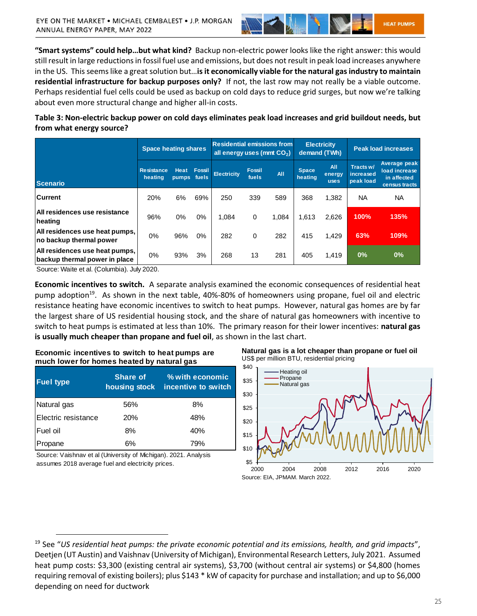

**"Smart systems" could help…but what kind?** Backup non-electric power looks like the right answer: this would still result in large reductions in fossil fuel use and emissions, but does not result in peak load increases anywhere in the US. This seems like a great solution but…**is it economically viable for the natural gas industry to maintain residential infrastructure for backup purposes only?** If not, the last row may not really be a viable outcome. Perhaps residential fuel cells could be used as backup on cold days to reduce grid surges, but now we're talking about even more structural change and higher all-in costs.

**Table 3: Non-electric backup power on cold days eliminates peak load increases and grid buildout needs, but from what energy source?** 

| <b>Space heating shares</b>                                     |                              |                      | <b>Residential emissions from</b><br>all energy uses (mmt CO <sub>2</sub> ) |                    |                        | <b>Electricity</b><br>demand (TWh) |                         | <b>Peak load increases</b>   |                                     |                                                               |
|-----------------------------------------------------------------|------------------------------|----------------------|-----------------------------------------------------------------------------|--------------------|------------------------|------------------------------------|-------------------------|------------------------------|-------------------------------------|---------------------------------------------------------------|
| <b>Scenario</b>                                                 | <b>Resistance</b><br>heating | Heat<br><b>pumps</b> | <b>Fossil</b><br>fuels                                                      | <b>Electricity</b> | <b>Fossil</b><br>fuels | All                                | <b>Space</b><br>heating | All<br>energy<br><b>uses</b> | Tracts w/<br>increased<br>peak load | Average peak<br>load increase<br>in affected<br>census tracts |
| <b>Current</b>                                                  | 20%                          | 6%                   | 69%                                                                         | 250                | 339                    | 589                                | 368                     | 1,382                        | NA                                  | <b>NA</b>                                                     |
| All residences use resistance<br>heating                        | 96%                          | $0\%$                | $0\%$                                                                       | 1.084              | 0                      | 1.084                              | 1.613                   | 2.626                        | 100%                                | 135%                                                          |
| All residences use heat pumps,<br>no backup thermal power       | $0\%$                        | 96%                  | $0\%$                                                                       | 282                | 0                      | 282                                | 415                     | 1.429                        | 63%                                 | 109%                                                          |
| All residences use heat pumps,<br>backup thermal power in place | $0\%$                        | 93%                  | 3%                                                                          | 268                | 13                     | 281                                | 405                     | 1,419                        | 0%                                  | $0\%$                                                         |

Source: Waite et al. (Columbia). July 2020.

**Economic incentives to switch.** A separate analysis examined the economic consequences of residential heat pump adoption<sup>19</sup>. As shown in the next table, 40%-80% of homeowners using propane, fuel oil and electric resistance heating have economic incentives to switch to heat pumps. However, natural gas homes are by far the largest share of US residential housing stock, and the share of natural gas homeowners with incentive to switch to heat pumps is estimated at less than 10%. The primary reason for their lower incentives: **natural gas is usually much cheaper than propane and fuel oil**, as shown in the last chart.

**Economic incentives to switch to heat pumps are much lower for homes heated by natural gas**

| <b>Fuel type</b>    | <b>Share of</b><br>housing stock | % with economic<br>incentive to switch |  |  |  |
|---------------------|----------------------------------|----------------------------------------|--|--|--|
| Natural gas         | 56%                              | 8%                                     |  |  |  |
| Electric resistance | 20%                              | 48%                                    |  |  |  |
| lFuel oil           | 8%                               | 40%                                    |  |  |  |
| Propane             | 6%                               | 79%                                    |  |  |  |

Source: Vaishnav et al (University of Michigan). 2021. Analysis assumes 2018 average fuel and electricity prices.





<sup>19</sup> See "*US residential heat pumps: the private economic potential and its emissions, health, and grid impacts*", Deetjen (UT Austin) and Vaishnav (University of Michigan), Environmental Research Letters, July 2021. Assumed heat pump costs: \$3,300 (existing central air systems), \$3,700 (without central air systems) or \$4,800 (homes requiring removal of existing boilers); plus \$143 \* kW of capacity for purchase and installation; and up to \$6,000 depending on need for ductwork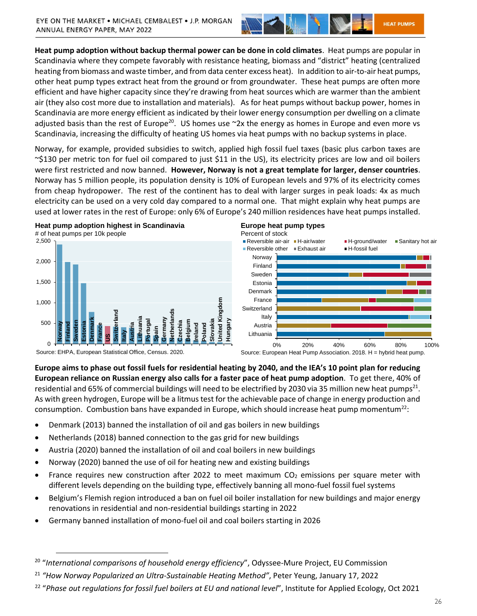

**Heat pump adoption without backup thermal power can be done in cold climates**. Heat pumps are popular in Scandinavia where they compete favorably with resistance heating, biomass and "district" heating (centralized heating from biomass and waste timber, and from data center excess heat). In addition to air-to-air heat pumps, other heat pump types extract heat from the ground or from groundwater. These heat pumps are often more efficient and have higher capacity since they're drawing from heat sources which are warmer than the ambient air (they also cost more due to installation and materials). As for heat pumps without backup power, homes in Scandinavia are more energy efficient as indicated by their lower energy consumption per dwelling on a climate adjusted basis than the rest of Europe<sup>20</sup>. US homes use  $\gamma$ 2x the energy as homes in Europe and even more vs Scandinavia, increasing the difficulty of heating US homes via heat pumps with no backup systems in place.

Norway, for example, provided subsidies to switch, applied high fossil fuel taxes (basic plus carbon taxes are ~\$130 per metric ton for fuel oil compared to just \$11 in the US), its electricity prices are low and oil boilers were first restricted and now banned. **However, Norway is not a great template for larger, denser countries**. Norway has 5 million people, its population density is 10% of European levels and 97% of its electricity comes from cheap hydropower. The rest of the continent has to deal with larger surges in peak loads: 4x as much electricity can be used on a very cold day compared to a normal one. That might explain why heat pumps are used at lower rates in the rest of Europe: only 6% of Europe's 240 million residences have heat pumps installed.



 $\overline{a}$ 







**Europe aims to phase out fossil fuels for residential heating by 2040, and the IEA's 10 point plan for reducing European reliance on Russian energy also calls for a faster pace of heat pump adoption**. To get there, 40% of residential and 65% of commercial buildings will need to be electrified by 2030 via 35 million new heat pumps<sup>21</sup>. As with green hydrogen, Europe will be a litmus test for the achievable pace of change in energy production and consumption. Combustion bans have expanded in Europe, which should increase heat pump momentum<sup>22</sup>:

- Denmark (2013) banned the installation of oil and gas boilers in new buildings
- Netherlands (2018) banned connection to the gas grid for new buildings
- Austria (2020) banned the installation of oil and coal boilers in new buildings
- Norway (2020) banned the use of oil for heating new and existing buildings
- France requires new construction after 2022 to meet maximum  $CO<sub>2</sub>$  emissions per square meter with different levels depending on the building type, effectively banning all mono-fuel fossil fuel systems
- Belgium's Flemish region introduced a ban on fuel oil boiler installation for new buildings and major energy renovations in residential and non-residential buildings starting in 2022
- Germany banned installation of mono-fuel oil and coal boilers starting in 2026

<sup>20</sup> "*International comparisons of household energy efficiency*", Odyssee-Mure Project, EU Commission

<sup>21</sup> *"How Norway Popularized an Ultra-Sustainable Heating Method"*, Peter Yeung, January 17, 2022

<sup>22</sup> "*Phase out regulations for fossil fuel boilers at EU and national level*", Institute for Applied Ecology, Oct 2021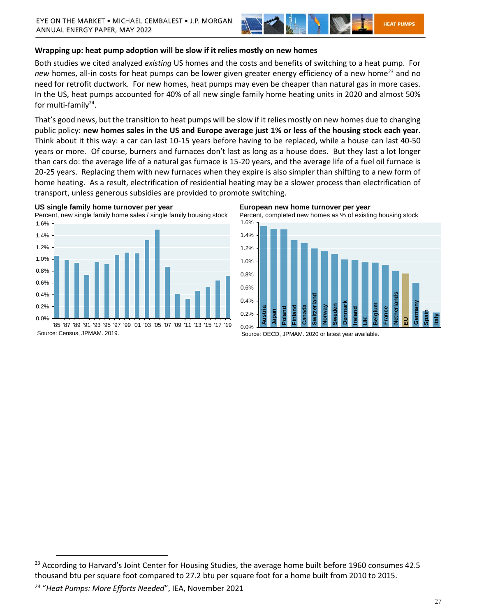

## **Wrapping up: heat pump adoption will be slow if it relies mostly on new homes**

Both studies we cited analyzed *existing* US homes and the costs and benefits of switching to a heat pump. For *new* homes, all-in costs for heat pumps can be lower given greater energy efficiency of a new home<sup>23</sup> and no need for retrofit ductwork. For new homes, heat pumps may even be cheaper than natural gas in more cases. In the US, heat pumps accounted for 40% of all new single family home heating units in 2020 and almost 50% for multi-family<sup>24</sup>.

That's good news, but the transition to heat pumps will be slow if it relies mostly on new homes due to changing public policy: **new homes sales in the US and Europe average just 1% or less of the housing stock each year**. Think about it this way: a car can last 10-15 years before having to be replaced, while a house can last 40-50 years or more. Of course, burners and furnaces don't last as long as a house does. But they last a lot longer than cars do: the average life of a natural gas furnace is 15-20 years, and the average life of a fuel oil furnace is 20-25 years. Replacing them with new furnaces when they expire is also simpler than shifting to a new form of home heating. As a result, electrification of residential heating may be a slower process than electrification of transport, unless generous subsidies are provided to promote switching.





Source: Census, JPMAM. 2019.

#### **European new home turnover per year**





Source: OECD, JPMAM. 2020 or latest year available.

<sup>&</sup>lt;sup>23</sup> According to Harvard's Joint Center for Housing Studies, the average home built before 1960 consumes 42.5 thousand btu per square foot compared to 27.2 btu per square foot for a home built from 2010 to 2015.

<sup>24</sup> "*Heat Pumps: More Efforts Needed*", IEA, November 2021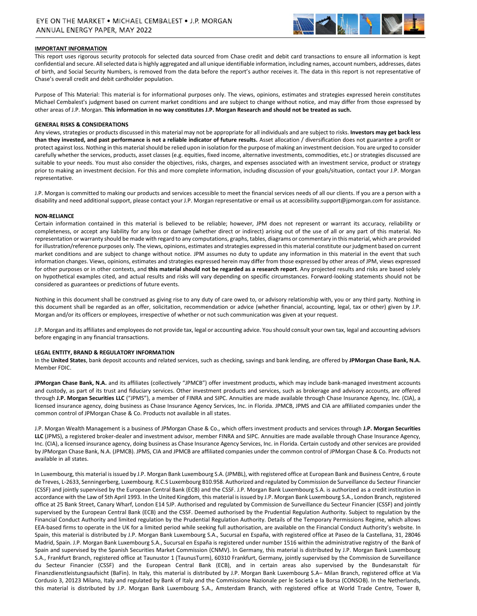

#### **IMPORTANT INFORMATION**

This report uses rigorous security protocols for selected data sourced from Chase credit and debit card transactions to ensure all information is kept confidential and secure. All selected data is highly aggregated and all unique identifiable information, including names, account numbers, addresses, dates of birth, and Social Security Numbers, is removed from the data before the report's author receives it. The data in this report is not representative of Chase's overall credit and debit cardholder population.

Purpose of This Material: This material is for informational purposes only. The views, opinions, estimates and strategies expressed herein constitutes Michael Cembalest's judgment based on current market conditions and are subject to change without notice, and may differ from those expressed by other areas of J.P. Morgan. **This information in no way constitutes J.P. Morgan Research and should not be treated as such.** 

#### **GENERAL RISKS & CONSIDERATIONS**

Any views, strategies or products discussed in this material may not be appropriate for all individuals and are subject to risks. **Investors may get back less than they invested, and past performance is not a reliable indicator of future results.** Asset allocation / diversification does not guarantee a profit or protect against loss. Nothing in this material should be relied upon in isolation for the purpose of making an investment decision. You are urged to consider carefully whether the services, products, asset classes (e.g. equities, fixed income, alternative investments, commodities, etc.) or strategies discussed are suitable to your needs. You must also consider the objectives, risks, charges, and expenses associated with an investment service, product or strategy prior to making an investment decision. For this and more complete information, including discussion of your goals/situation, contact your J.P. Morgan representative.

J.P. Morgan is committed to making our products and services accessible to meet the financial services needs of all our clients. If you are a person with a disability and need additional support, please contact your J.P. Morgan representative or email us at [accessibility.support@jpmorgan.com](mailto:accessibility.support@jpmorgan.com) for assistance.

#### **NON-RELIANCE**

Certain information contained in this material is believed to be reliable; however, JPM does not represent or warrant its accuracy, reliability or completeness, or accept any liability for any loss or damage (whether direct or indirect) arising out of the use of all or any part of this material. No representation or warranty should be made with regard to any computations, graphs, tables, diagrams or commentary in this material, which are provided for illustration/reference purposes only. The views, opinions, estimates and strategies expressed in this material constitute our judgment based on current market conditions and are subject to change without notice. JPM assumes no duty to update any information in this material in the event that such information changes. Views, opinions, estimates and strategies expressed herein may differ from those expressed by other areas of JPM, views expressed for other purposes or in other contexts, and **this material should not be regarded as a research report**. Any projected results and risks are based solely on hypothetical examples cited, and actual results and risks will vary depending on specific circumstances. Forward-looking statements should not be considered as guarantees or predictions of future events.

Nothing in this document shall be construed as giving rise to any duty of care owed to, or advisory relationship with, you or any third party. Nothing in this document shall be regarded as an offer, solicitation, recommendation or advice (whether financial, accounting, legal, tax or other) given by J.P. Morgan and/or its officers or employees, irrespective of whether or not such communication was given at your request.

J.P. Morgan and its affiliates and employees do not provide tax, legal or accounting advice. You should consult your own tax, legal and accounting advisors before engaging in any financial transactions.

#### **LEGAL ENTITY, BRAND & REGULATORY INFORMATION**

In the **United States**, bank deposit accounts and related services, such as checking, savings and bank lending, are offered by **JPMorgan Chase Bank, N.A.**  Member FDIC.

**JPMorgan Chase Bank, N.A.** and its affiliates (collectively "JPMCB") offer investment products, which may include bank-managed investment accounts and custody, as part of its trust and fiduciary services. Other investment products and services, such as brokerage and advisory accounts, are offered through **J.P. Morgan Securities LLC** ("JPMS"), a member of FINRA and SIPC. Annuities are made available through Chase Insurance Agency, Inc. (CIA), a licensed insurance agency, doing business as Chase Insurance Agency Services, Inc. in Florida. JPMCB, JPMS and CIA are affiliated companies under the common control of JPMorgan Chase & Co. Products not available in all states.

J.P. Morgan Wealth Management is a business of JPMorgan Chase & Co., which offers investment products and services through **J.P. Morgan Securities LLC** (JPMS), a registered broker-dealer and investment advisor, member FINRA and SIPC. Annuities are made available through Chase Insurance Agency, Inc. (CIA), a licensed insurance agency, doing business as Chase Insurance Agency Services, Inc. in Florida. Certain custody and other services are provided by JPMorgan Chase Bank, N.A. (JPMCB). JPMS, CIA and JPMCB are affiliated companies under the common control of JPMorgan Chase & Co. Products not available in all states.

In Luxembourg, this material is issued by J.P. Morgan Bank Luxembourg S.A. (JPMBL), with registered office at European Bank and Business Centre, 6 route de Treves, L-2633, Senningerberg, Luxembourg. R.C.S Luxembourg B10.958. Authorized and regulated by Commission de Surveillance du Secteur Financier (CSSF) and jointly supervised by the European Central Bank (ECB) and the CSSF. J.P. Morgan Bank Luxembourg S.A. is authorized as a credit institution in accordance with the Law of 5th April 1993. In the United Kingdom, this material is issued by J.P. Morgan Bank Luxembourg S.A., London Branch, registered office at 25 Bank Street, Canary Wharf, London E14 5JP. Authorised and regulated by Commission de Surveillance du Secteur Financier (CSSF) and jointly supervised by the European Central Bank (ECB) and the CSSF. Deemed authorised by the Prudential Regulation Authority. Subject to regulation by the Financial Conduct Authority and limited regulation by the Prudential Regulation Authority. Details of the Temporary Permissions Regime, which allows EEA-based firms to operate in the UK for a limited period while seeking full authorisation, are available on the Financial Conduct Authority's website. In Spain, this material is distributed by J.P. Morgan Bank Luxembourg S.A., Sucursal en España, with registered office at Paseo de la Castellana, 31, 28046 Madrid, Spain. J.P. Morgan Bank Luxembourg S.A., Sucursal en España is registered under number 1516 within the administrative registry of the Bank of Spain and supervised by the Spanish Securities Market Commission (CNMV). In Germany, this material is distributed by J.P. Morgan Bank Luxembourg S.A., Frankfurt Branch, registered office at Taunustor 1 (TaunusTurm), 60310 Frankfurt, Germany, jointly supervised by the Commission de Surveillance du Secteur Financier (CSSF) and the European Central Bank (ECB), and in certain areas also supervised by the Bundesanstalt für Finanzdienstleistungsaufsicht (BaFin). In Italy, this material is distributed by J.P. Morgan Bank Luxembourg S.A– Milan Branch, registered office at Via Cordusio 3, 20123 Milano, Italy and regulated by Bank of Italy and the Commissione Nazionale per le Società e la Borsa (CONSOB). In the Netherlands, this material is distributed by J.P. Morgan Bank Luxembourg S.A., Amsterdam Branch, with registered office at World Trade Centre, Tower B,